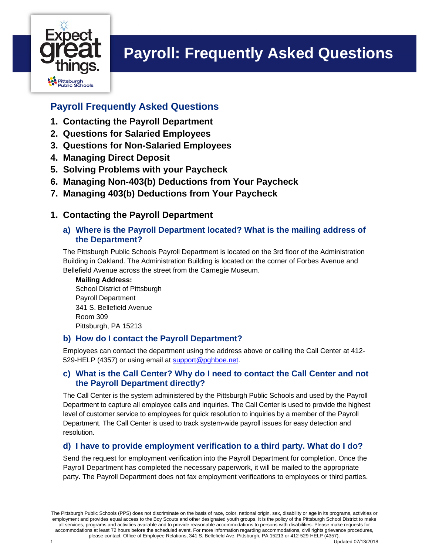

## **Payroll Frequently Asked Questions**

- **1. Contacting the Payroll Department**
- **2. Questions for Salaried Employees**
- **3. Questions for Non-Salaried Employees**
- **4. Managing Direct Deposit**
- **5. Solving Problems with your Paycheck**
- **6. Managing Non-403(b) Deductions from Your Paycheck**
- **7. Managing 403(b) Deductions from Your Paycheck**

## **1. Contacting the Payroll Department**

#### **a) Where is the Payroll Department located? What is the mailing address of the Department?**

The Pittsburgh Public Schools Payroll Department is located on the 3rd floor of the Administration Building in Oakland. The Administration Building is located on the corner of Forbes Avenue and Bellefield Avenue across the street from the Carnegie Museum.

**Mailing Address:** 

School District of Pittsburgh Payroll Department 341 S. Bellefield Avenue Room 309 Pittsburgh, PA 15213

## **b) How do I contact the Payroll Department?**

Employees can contact the department using the address above or calling the Call Center at 412- 529-HELP (4357) or using email at support@pghboe.net.

### **c) What is the Call Center? Why do I need to contact the Call Center and not the Payroll Department directly?**

The Call Center is the system administered by the Pittsburgh Public Schools and used by the Payroll Department to capture all employee calls and inquiries. The Call Center is used to provide the highest level of customer service to employees for quick resolution to inquiries by a member of the Payroll Department. The Call Center is used to track system-wide payroll issues for easy detection and resolution.

## **d) I have to provide employment verification to a third party. What do I do?**

Send the request for employment verification into the Payroll Department for completion. Once the Payroll Department has completed the necessary paperwork, it will be mailed to the appropriate party. The Payroll Department does not fax employment verifications to employees or third parties.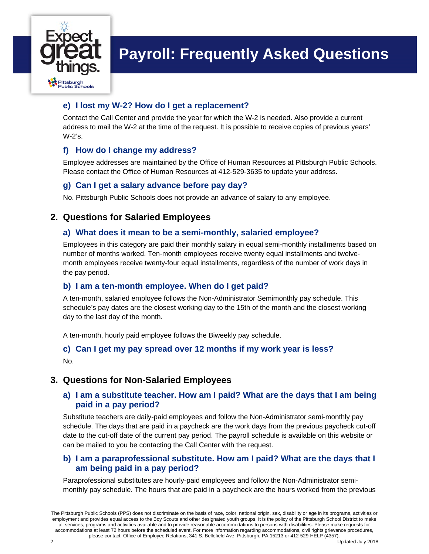

## **e) I lost my W-2? How do I get a replacement?**

Contact the Call Center and provide the year for which the W-2 is needed. Also provide a current address to mail the W-2 at the time of the request. It is possible to receive copies of previous years' W-2's.

## **f) How do I change my address?**

Employee addresses are maintained by the Office of Human Resources at Pittsburgh Public Schools. Please contact the Office of Human Resources at 412-529-3635 to update your address.

### **g) Can I get a salary advance before pay day?**

No. Pittsburgh Public Schools does not provide an advance of salary to any employee.

## **2. Questions for Salaried Employees**

### **a) What does it mean to be a semi-monthly, salaried employee?**

Employees in this category are paid their monthly salary in equal semi-monthly installments based on number of months worked. Ten-month employees receive twenty equal installments and twelvemonth employees receive twenty-four equal installments, regardless of the number of work days in the pay period.

#### **b) I am a ten-month employee. When do I get paid?**

A ten-month, salaried employee follows the Non-Administrator Semimonthly pay schedule. This schedule's pay dates are the closest working day to the 15th of the month and the closest working day to the last day of the month.

A ten-month, hourly paid employee follows the Biweekly pay schedule.

### **c) Can I get my pay spread over 12 months if my work year is less?**  No.

## **3. Questions for Non-Salaried Employees**

### **a) I am a substitute teacher. How am I paid? What are the days that I am being paid in a pay period?**

Substitute teachers are daily-paid employees and follow the Non-Administrator semi-monthly pay schedule. The days that are paid in a paycheck are the work days from the previous paycheck cut-off date to the cut-off date of the current pay period. The payroll schedule is available on this website or can be mailed to you be contacting the Call Center with the request.

#### **b) I am a paraprofessional substitute. How am I paid? What are the days that I am being paid in a pay period?**

Paraprofessional substitutes are hourly-paid employees and follow the Non-Administrator semimonthly pay schedule. The hours that are paid in a paycheck are the hours worked from the previous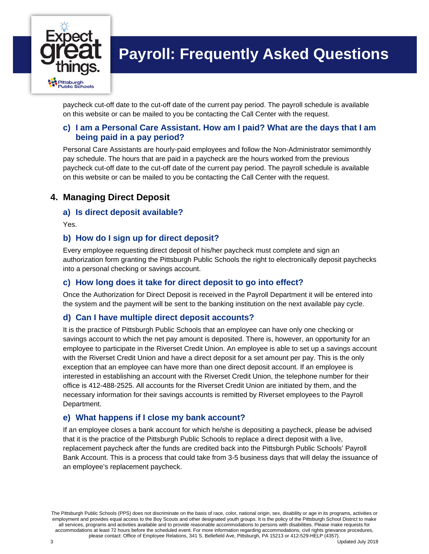

paycheck cut-off date to the cut-off date of the current pay period. The payroll schedule is available on this website or can be mailed to you be contacting the Call Center with the request.

#### **c) I am a Personal Care Assistant. How am I paid? What are the days that I am being paid in a pay period?**

Personal Care Assistants are hourly-paid employees and follow the Non-Administrator semimonthly pay schedule. The hours that are paid in a paycheck are the hours worked from the previous paycheck cut-off date to the cut-off date of the current pay period. The payroll schedule is available on this website or can be mailed to you be contacting the Call Center with the request.

## **4. Managing Direct Deposit**

#### **a) Is direct deposit available?**

Yes.

### **b) How do I sign up for direct deposit?**

Every employee requesting direct deposit of his/her paycheck must complete and sign an authorization form granting the Pittsburgh Public Schools the right to electronically deposit paychecks into a personal checking or savings account.

#### **c) How long does it take for direct deposit to go into effect?**

Once the Authorization for Direct Deposit is received in the Payroll Department it will be entered into the system and the payment will be sent to the banking institution on the next available pay cycle.

## **d) Can I have multiple direct deposit accounts?**

It is the practice of Pittsburgh Public Schools that an employee can have only one checking or savings account to which the net pay amount is deposited. There is, however, an opportunity for an employee to participate in the Riverset Credit Union. An employee is able to set up a savings account with the Riverset Credit Union and have a direct deposit for a set amount per pay. This is the only exception that an employee can have more than one direct deposit account. If an employee is interested in establishing an account with the Riverset Credit Union, the telephone number for their office is 412-488-2525. All accounts for the Riverset Credit Union are initiated by them, and the necessary information for their savings accounts is remitted by Riverset employees to the Payroll Department.

#### **e) What happens if I close my bank account?**

If an employee closes a bank account for which he/she is depositing a paycheck, please be advised that it is the practice of the Pittsburgh Public Schools to replace a direct deposit with a live, replacement paycheck after the funds are credited back into the Pittsburgh Public Schools' Payroll Bank Account. This is a process that could take from 3-5 business days that will delay the issuance of an employee's replacement paycheck.

The Pittsburgh Public Schools (PPS) does not discriminate on the basis of race, color, national origin, sex, disability or age in its programs, activities or employment and provides equal access to the Boy Scouts and other designated youth groups. It is the policy of the Pittsburgh School District to make all services, programs and activities available and to provide reasonable accommodations to persons with disabilities. Please make requests for accommodations at least 72 hours before the scheduled event. For more information regarding accommodations, civil rights grievance procedures, please contact: Office of Employee Relations, 341 S. Bellefield Ave, Pittsburgh, PA 15213 or 412-529-HELP (4357).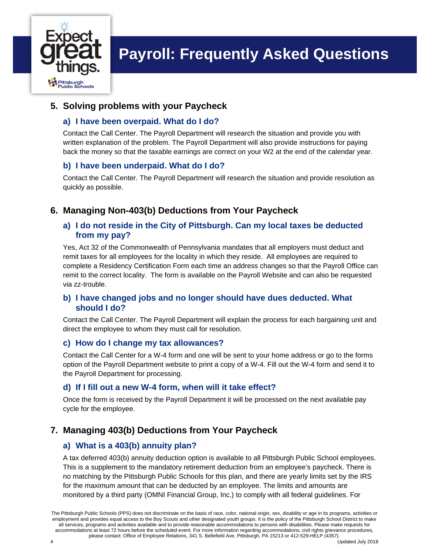

## **5. Solving problems with your Paycheck**

#### **a) I have been overpaid. What do I do?**

Contact the Call Center. The Payroll Department will research the situation and provide you with written explanation of the problem. The Payroll Department will also provide instructions for paying back the money so that the taxable earnings are correct on your W2 at the end of the calendar year.

### **b) I have been underpaid. What do I do?**

Contact the Call Center. The Payroll Department will research the situation and provide resolution as quickly as possible.

## **6. Managing Non-403(b) Deductions from Your Paycheck**

#### **a) I do not reside in the City of Pittsburgh. Can my local taxes be deducted from my pay?**

Yes, Act 32 of the Commonwealth of Pennsylvania mandates that all employers must deduct and remit taxes for all employees for the locality in which they reside. All employees are required to complete a Residency Certification Form each time an address changes so that the Payroll Office can remit to the correct locality. The form is available on the Payroll Website and can also be requested via zz-trouble.

#### **b) I have changed jobs and no longer should have dues deducted. What should I do?**

Contact the Call Center. The Payroll Department will explain the process for each bargaining unit and direct the employee to whom they must call for resolution.

#### **c) How do I change my tax allowances?**

Contact the Call Center for a W-4 form and one will be sent to your home address or go to the forms option of the Payroll Department website to print a copy of a W-4. Fill out the W-4 form and send it to the Payroll Department for processing.

#### **d) If I fill out a new W-4 form, when will it take effect?**

Once the form is received by the Payroll Department it will be processed on the next available pay cycle for the employee.

## **7. Managing 403(b) Deductions from Your Paycheck**

## **a) What is a 403(b) annuity plan?**

A tax deferred 403(b) annuity deduction option is available to all Pittsburgh Public School employees. This is a supplement to the mandatory retirement deduction from an employee's paycheck. There is no matching by the Pittsburgh Public Schools for this plan, and there are yearly limits set by the IRS for the maximum amount that can be deducted by an employee. The limits and amounts are monitored by a third party (OMNI Financial Group, Inc.) to comply with all federal guidelines. For